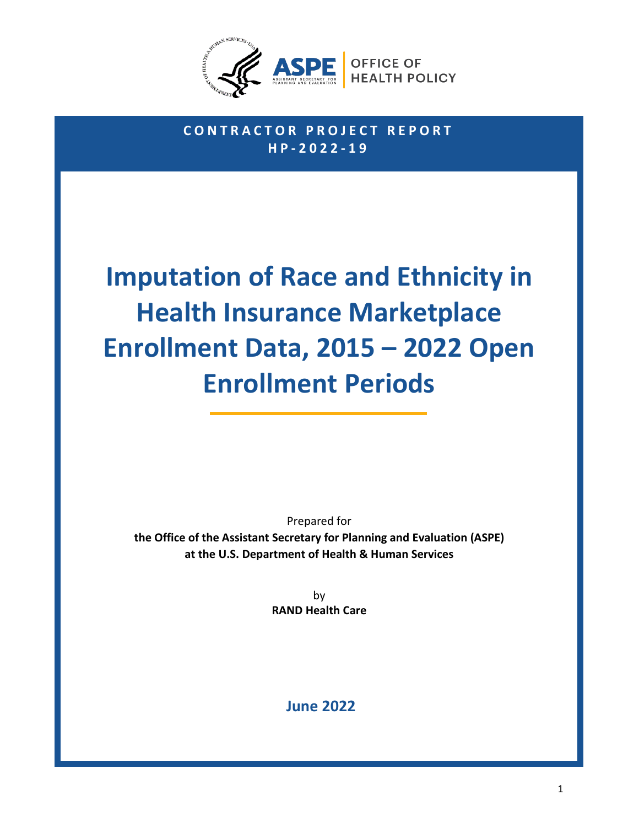

## **CONTRACTOR PROJECT REPORT H P - 2022 - 1 9**

# **Imputation of Race and Ethnicity in Health Insurance Marketplace Enrollment Data, 2015 – 2022 Open Enrollment Periods**

Prepared for **the Office of the Assistant Secretary for Planning and Evaluation (ASPE) at the U.S. Department of Health & Human Services**

> by **RAND Health Care**

> > **June 2022**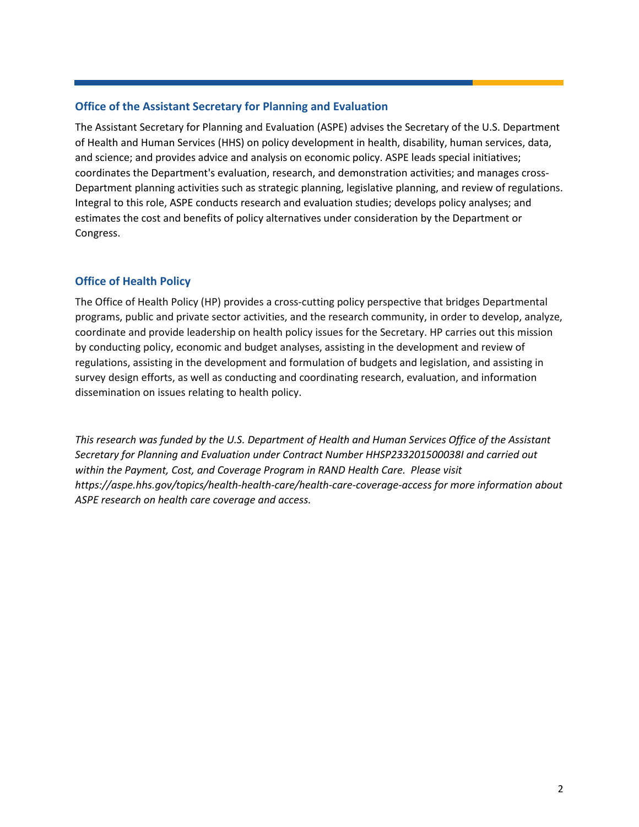#### **Office of the Assistant Secretary for Planning and Evaluation**

The Assistant Secretary for Planning and Evaluation (ASPE) advises the Secretary of the U.S. Department of Health and Human Services (HHS) on policy development in health, disability, human services, data, and science; and provides advice and analysis on economic policy. ASPE leads special initiatives; coordinates the Department's evaluation, research, and demonstration activities; and manages cross-Department planning activities such as strategic planning, legislative planning, and review of regulations. Integral to this role, ASPE conducts research and evaluation studies; develops policy analyses; and estimates the cost and benefits of policy alternatives under consideration by the Department or Congress.

#### **Office of Health Policy**

The Office of Health Policy (HP) provides a cross-cutting policy perspective that bridges Departmental programs, public and private sector activities, and the research community, in order to develop, analyze, coordinate and provide leadership on health policy issues for the Secretary. HP carries out this mission by conducting policy, economic and budget analyses, assisting in the development and review of regulations, assisting in the development and formulation of budgets and legislation, and assisting in survey design efforts, as well as conducting and coordinating research, evaluation, and information dissemination on issues relating to health policy.

*This research was funded by the U.S. Department of Health and Human Services Office of the Assistant Secretary for Planning and Evaluation under Contract Number HHSP233201500038I and carried out within the Payment, Cost, and Coverage Program in RAND Health Care. Please visit https://aspe.hhs.gov/topics/health-health-care/health-care-coverage-access for more information about ASPE research on health care coverage and access.*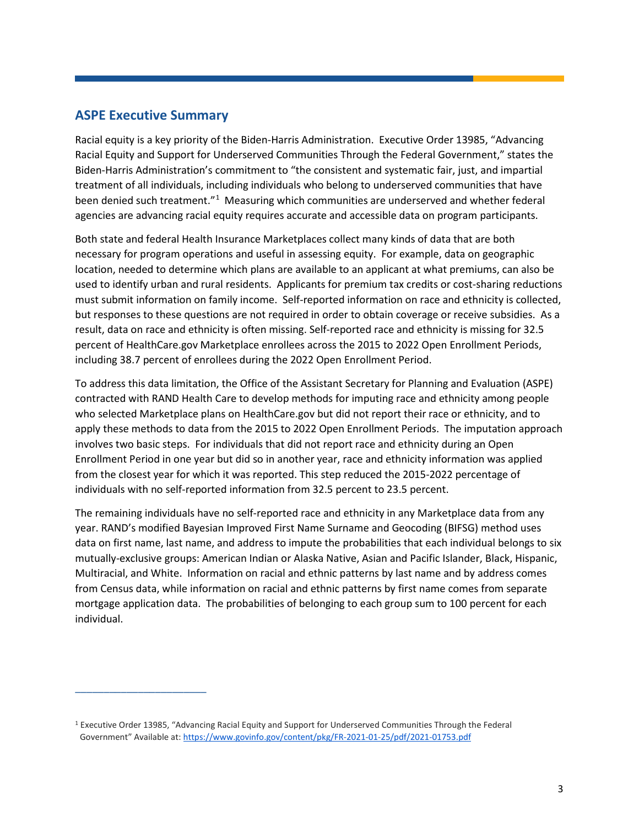### **ASPE Executive Summary**

\_\_\_\_\_\_\_\_\_\_\_\_\_\_\_\_\_\_\_\_\_\_\_

Racial equity is a key priority of the Biden-Harris Administration. Executive Order 13985, "Advancing Racial Equity and Support for Underserved Communities Through the Federal Government," states the Biden-Harris Administration's commitment to "the consistent and systematic fair, just, and impartial treatment of all individuals, including individuals who belong to underserved communities that have been denied such treatment."<sup>[1](#page-2-0)</sup> Measuring which communities are underserved and whether federal agencies are advancing racial equity requires accurate and accessible data on program participants.

Both state and federal Health Insurance Marketplaces collect many kinds of data that are both necessary for program operations and useful in assessing equity. For example, data on geographic location, needed to determine which plans are available to an applicant at what premiums, can also be used to identify urban and rural residents. Applicants for premium tax credits or cost-sharing reductions must submit information on family income. Self-reported information on race and ethnicity is collected, but responses to these questions are not required in order to obtain coverage or receive subsidies. As a result, data on race and ethnicity is often missing. Self-reported race and ethnicity is missing for 32.5 percent of HealthCare.gov Marketplace enrollees across the 2015 to 2022 Open Enrollment Periods, including 38.7 percent of enrollees during the 2022 Open Enrollment Period.

To address this data limitation, the Office of the Assistant Secretary for Planning and Evaluation (ASPE) contracted with RAND Health Care to develop methods for imputing race and ethnicity among people who selected Marketplace plans on HealthCare.gov but did not report their race or ethnicity, and to apply these methods to data from the 2015 to 2022 Open Enrollment Periods. The imputation approach involves two basic steps. For individuals that did not report race and ethnicity during an Open Enrollment Period in one year but did so in another year, race and ethnicity information was applied from the closest year for which it was reported. This step reduced the 2015-2022 percentage of individuals with no self-reported information from 32.5 percent to 23.5 percent.

The remaining individuals have no self-reported race and ethnicity in any Marketplace data from any year. RAND's modified Bayesian Improved First Name Surname and Geocoding (BIFSG) method uses data on first name, last name, and address to impute the probabilities that each individual belongs to six mutually-exclusive groups: American Indian or Alaska Native, Asian and Pacific Islander, Black, Hispanic, Multiracial, and White. Information on racial and ethnic patterns by last name and by address comes from Census data, while information on racial and ethnic patterns by first name comes from separate mortgage application data. The probabilities of belonging to each group sum to 100 percent for each individual.

<span id="page-2-0"></span><sup>1</sup> Executive Order 13985, "Advancing Racial Equity and Support for Underserved Communities Through the Federal Government" Available at[: https://www.govinfo.gov/content/pkg/FR-2021-01-25/pdf/2021-01753.pdf](https://www.govinfo.gov/content/pkg/FR-2021-01-25/pdf/2021-01753.pdf)